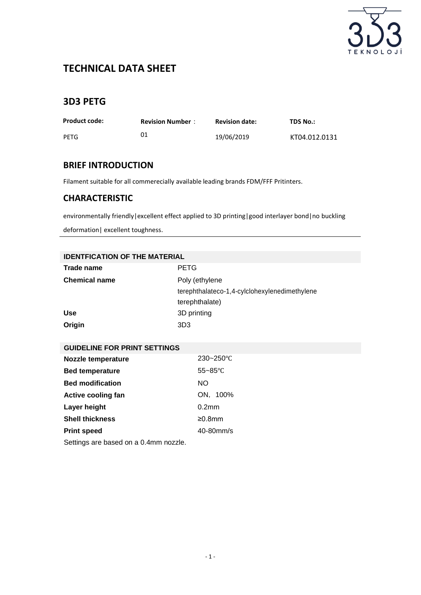

# **TECHNICAL DATA SHEET**

## **3D3 PETG**

| <b>Product code:</b> | <b>Revision Number:</b> | <b>Revision date:</b> | TDS No.:      |
|----------------------|-------------------------|-----------------------|---------------|
| PETG                 |                         | 19/06/2019            | KT04.012.0131 |

### **BRIEF INTRODUCTION**

Filament suitable for all commerecially available leading brands FDM/FFF Pritinters.

### **CHARACTERISTIC**

environmentally friendly | excellent effect applied to 3D printing | good interlayer bond | no [buckling](http://dict.youdao.com/w/buckling%20deformation/)

deformation| excellent toughness.

| <b>IDENTFICATION OF THE MATERIAL</b>  |                                               |  |  |  |
|---------------------------------------|-----------------------------------------------|--|--|--|
| Trade name                            | <b>PETG</b>                                   |  |  |  |
| <b>Chemical name</b>                  | Poly (ethylene                                |  |  |  |
|                                       | terephthalateco-1,4-cylclohexylenedimethylene |  |  |  |
|                                       | terephthalate)                                |  |  |  |
| <b>Use</b>                            | 3D printing                                   |  |  |  |
| Origin                                | 3D <sub>3</sub>                               |  |  |  |
|                                       |                                               |  |  |  |
| <b>GUIDELINE FOR PRINT SETTINGS</b>   |                                               |  |  |  |
| Nozzle temperature                    | 230~250°C                                     |  |  |  |
| <b>Bed temperature</b>                | $55 - 85^{\circ}C$                            |  |  |  |
| <b>Bed modification</b>               | NO.                                           |  |  |  |
| <b>Active cooling fan</b>             | ON, 100%                                      |  |  |  |
| Layer height                          | 0.2 <sub>mm</sub>                             |  |  |  |
| <b>Shell thickness</b>                | ≥0.8mm                                        |  |  |  |
| <b>Print speed</b>                    | 40-80mm/s                                     |  |  |  |
| Settings are based on a 0.4mm nozzle. |                                               |  |  |  |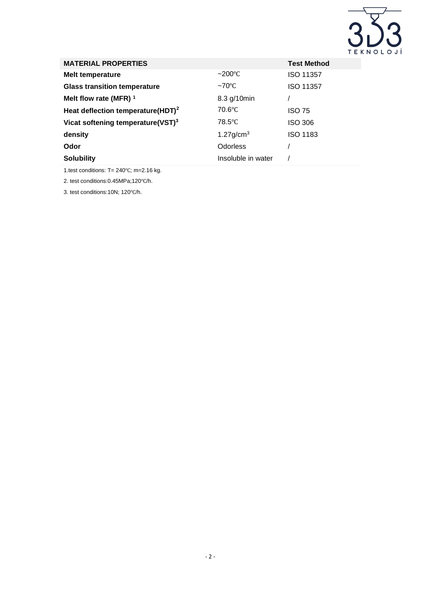

| <b>MATERIAL PROPERTIES</b>                    |                          | <b>Test Method</b> |
|-----------------------------------------------|--------------------------|--------------------|
| <b>Melt temperature</b>                       | $\sim$ 200°C             | <b>ISO 11357</b>   |
| <b>Glass transition temperature</b>           | $~\sim$ 70°C             | <b>ISO 11357</b>   |
| Melt flow rate (MFR) 1                        | 8.3 g/10min              |                    |
| Heat deflection temperature(HDT) <sup>2</sup> | 70.6°C                   | <b>ISO 75</b>      |
| Vicat softening temperature(VST) <sup>3</sup> | 78.5°C                   | <b>ISO 306</b>     |
| density                                       | $1.27$ g/cm <sup>3</sup> | <b>ISO 1183</b>    |
| Odor                                          | <b>Odorless</b>          |                    |
| <b>Solubility</b>                             | Insoluble in water       |                    |

1.test conditions: T= 240℃; m=2.16 kg.

2. test conditions:0.45MPa;120℃/h.

3. test conditions:10N; 120℃/h.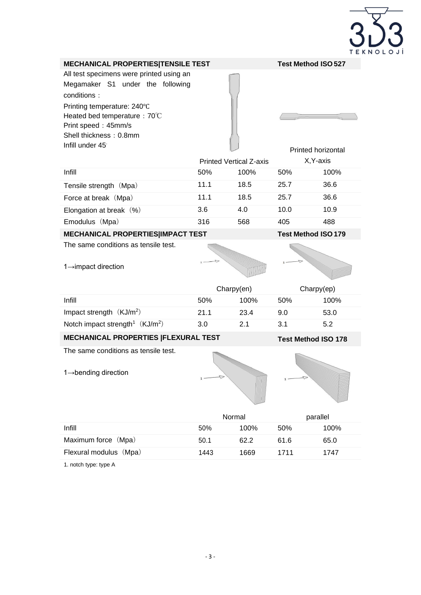

#### **MECHANICAL PROPERTIES|TENSILE TEST Test Method ISO 527**

All test specimens were printed using an Megamaker S1 under the following conditions: Printing temperature: 240℃ Heated bed temperature: 70℃ Print speed: 45mm/s Shell thickness: 0.8mm Infill under 45。

|                           | <b>Printed Vertical Z-axis</b> |      | <b>Printed horizontal</b><br>X, Y-axis |      |
|---------------------------|--------------------------------|------|----------------------------------------|------|
|                           |                                |      |                                        |      |
| Infill                    | 50%                            | 100% | 50%                                    | 100% |
| Tensile strength (Mpa)    | 11.1                           | 18.5 | 25.7                                   | 36.6 |
| Force at break (Mpa)      | 11.1                           | 18.5 | 25.7                                   | 36.6 |
| Elongation at break $(%)$ | 3.6                            | 4.0  | 10.0                                   | 10.9 |
| Emodulus (Mpa)            | 316                            | 568  | 405                                    | 488  |
|                           |                                |      |                                        |      |

**MECHANICAL PROPERTIES|IMPACT TEST Test Method ISO 179**

The same conditions as tensile test.

1→impact direction

|                                              | Chary(en) |      | Chary(ep) |      |
|----------------------------------------------|-----------|------|-----------|------|
| Infill                                       | .50%      | 100% | 50%       | 100% |
| Impact strength $(KJ/m2)$                    | 21.1      | 23.4 | 9.0       | 53.0 |
| Notch impact strength <sup>1</sup> $(KJ/m2)$ | 3.0       | 21   | 3.1       | 5.2  |

**MECHANICAL PROPERTIES |FLEXURAL TEST Test Method ISO 178**

The same conditions as tensile test.

1→bending direction





|                        | Normal |      | parallel |      |
|------------------------|--------|------|----------|------|
| Infill                 | 50%    | 100% | 50%      | 100% |
| Maximum force (Mpa)    | 50.1   | 62.2 | 61.6     | 65.0 |
| Flexural modulus (Mpa) | 1443   | 1669 | 1711     | 1747 |
|                        |        |      |          |      |

1. notch type: type A